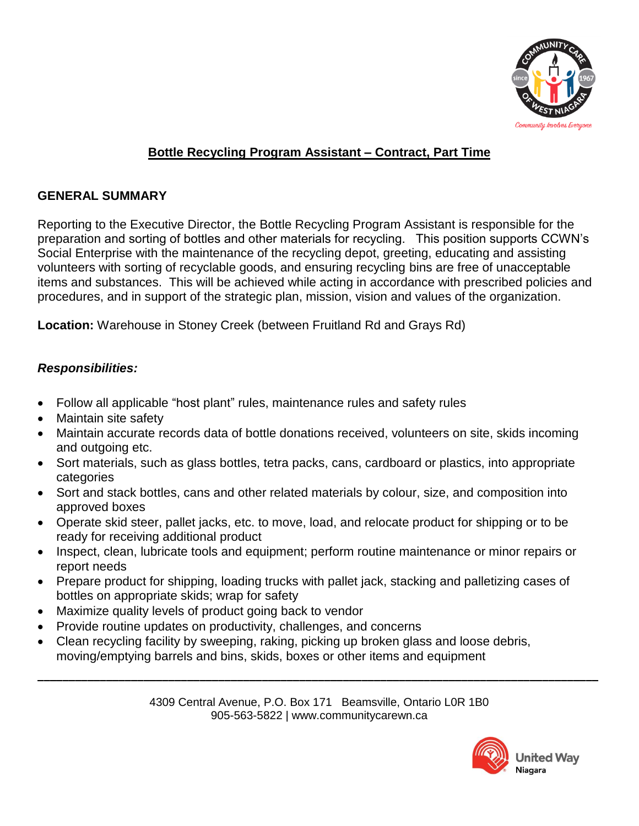

# **Bottle Recycling Program Assistant – Contract, Part Time**

#### **GENERAL SUMMARY**

Reporting to the Executive Director, the Bottle Recycling Program Assistant is responsible for the preparation and sorting of bottles and other materials for recycling. This position supports CCWN's Social Enterprise with the maintenance of the recycling depot, greeting, educating and assisting volunteers with sorting of recyclable goods, and ensuring recycling bins are free of unacceptable items and substances. This will be achieved while acting in accordance with prescribed policies and procedures, and in support of the strategic plan, mission, vision and values of the organization.

**Location:** Warehouse in Stoney Creek (between Fruitland Rd and Grays Rd)

# *Responsibilities:*

- Follow all applicable "host plant" rules, maintenance rules and safety rules
- Maintain site safety
- Maintain accurate records data of bottle donations received, volunteers on site, skids incoming and outgoing etc.
- Sort materials, such as glass bottles, tetra packs, cans, cardboard or plastics, into appropriate categories
- Sort and stack bottles, cans and other related materials by colour, size, and composition into approved boxes
- Operate skid steer, pallet jacks, etc. to move, load, and relocate product for shipping or to be ready for receiving additional product
- Inspect, clean, lubricate tools and equipment; perform routine maintenance or minor repairs or report needs
- Prepare product for shipping, loading trucks with pallet jack, stacking and palletizing cases of bottles on appropriate skids; wrap for safety
- Maximize quality levels of product going back to vendor
- Provide routine updates on productivity, challenges, and concerns
- Clean recycling facility by sweeping, raking, picking up broken glass and loose debris, moving/emptying barrels and bins, skids, boxes or other items and equipment

4309 Central Avenue, P.O. Box 171 Beamsville, Ontario L0R 1B0 905-563-5822 | www.communitycarewn.ca

**\_\_\_\_\_\_\_\_\_\_\_\_\_\_\_\_\_\_\_\_\_\_\_\_\_\_\_\_\_\_\_\_\_\_\_\_\_\_\_\_\_\_\_\_\_\_\_\_\_\_\_\_\_\_\_\_\_\_\_\_\_\_\_\_\_\_\_\_\_\_\_\_\_\_\_\_\_\_\_\_\_\_\_\_\_\_\_\_\_\_**

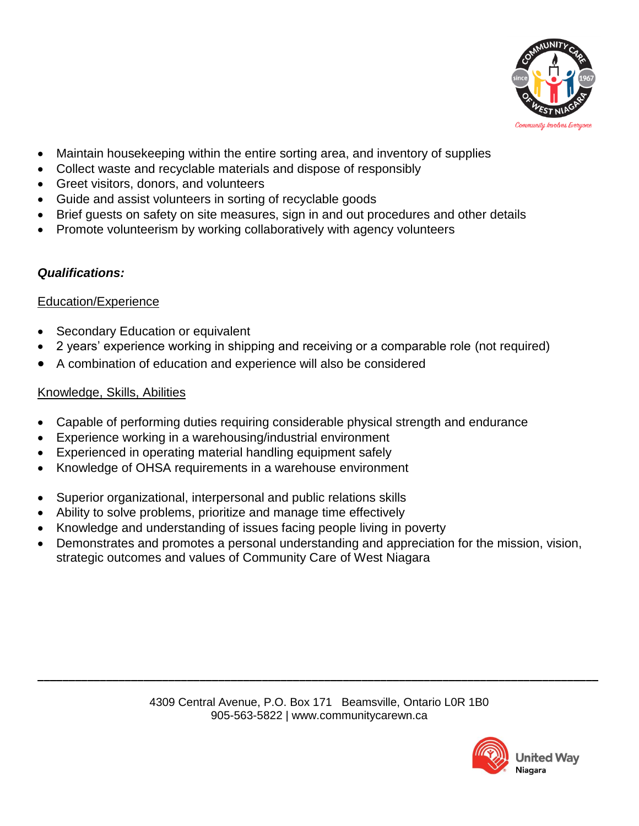

- Maintain housekeeping within the entire sorting area, and inventory of supplies
- Collect waste and recyclable materials and dispose of responsibly
- Greet visitors, donors, and volunteers
- Guide and assist volunteers in sorting of recyclable goods
- Brief guests on safety on site measures, sign in and out procedures and other details
- Promote volunteerism by working collaboratively with agency volunteers

## *Qualifications:*

#### Education/Experience

- Secondary Education or equivalent
- 2 years' experience working in shipping and receiving or a comparable role (not required)
- A combination of education and experience will also be considered

## Knowledge, Skills, Abilities

- Capable of performing duties requiring considerable physical strength and endurance
- Experience working in a warehousing/industrial environment
- Experienced in operating material handling equipment safely
- Knowledge of OHSA requirements in a warehouse environment
- Superior organizational, interpersonal and public relations skills
- Ability to solve problems, prioritize and manage time effectively
- Knowledge and understanding of issues facing people living in poverty
- Demonstrates and promotes a personal understanding and appreciation for the mission, vision, strategic outcomes and values of Community Care of West Niagara

**\_\_\_\_\_\_\_\_\_\_\_\_\_\_\_\_\_\_\_\_\_\_\_\_\_\_\_\_\_\_\_\_\_\_\_\_\_\_\_\_\_\_\_\_\_\_\_\_\_\_\_\_\_\_\_\_\_\_\_\_\_\_\_\_\_\_\_\_\_\_\_\_\_\_\_\_\_\_\_\_\_\_\_\_\_\_\_\_\_\_**